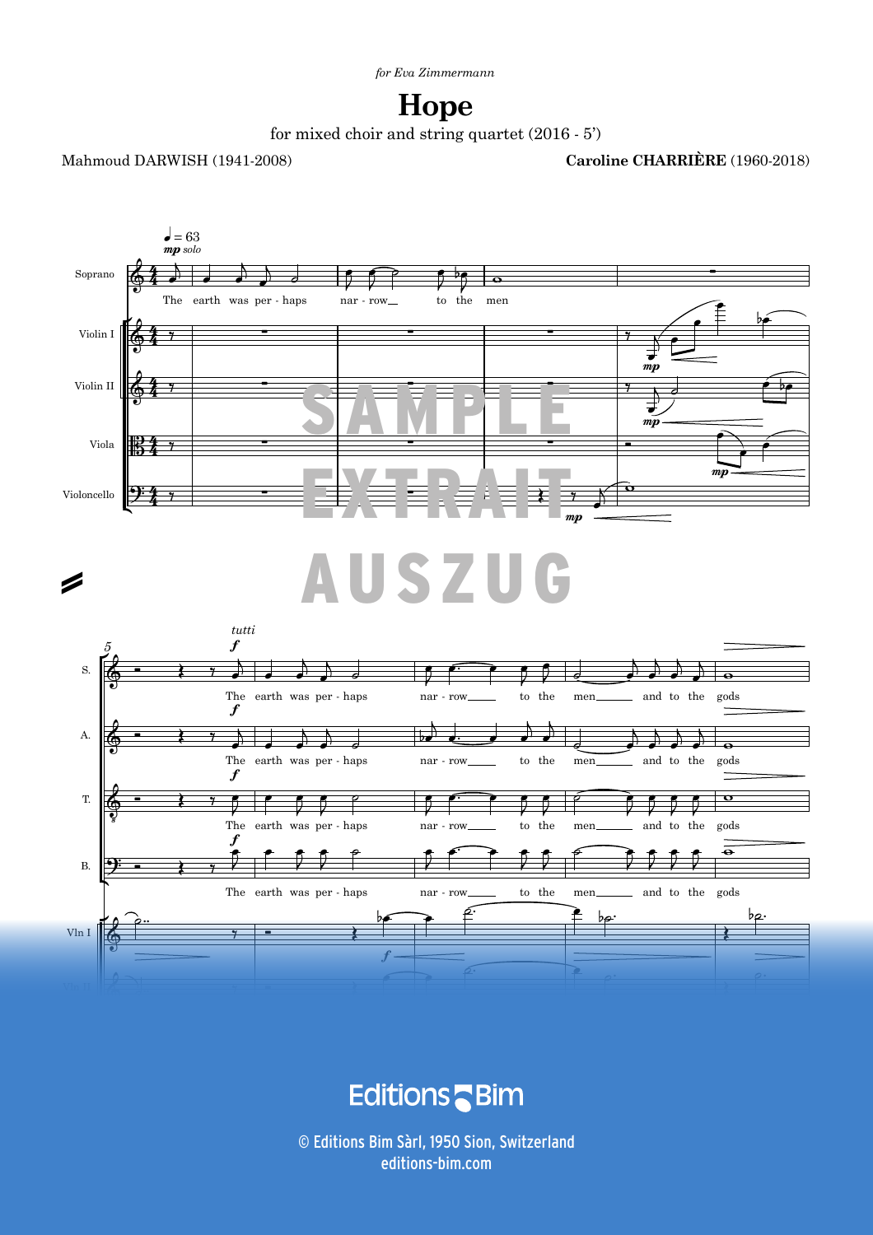## **Hope**

for mixed choir and string quartet  $(2016 - 5')$ 

Mahmoud DARWISH (1941-2008)

**Caroline CHARRIÈRE** (1960-2018)



**Editions** Bim

 $\odot$  Editions Bim Sàrl, 1950 Sion, Switzerland ALL RIGHTS RESERVED - TOUS DROITS RÉSERVÉS - ALLE RECHTE VORBEHALTEN V115b 3 editions-bim.com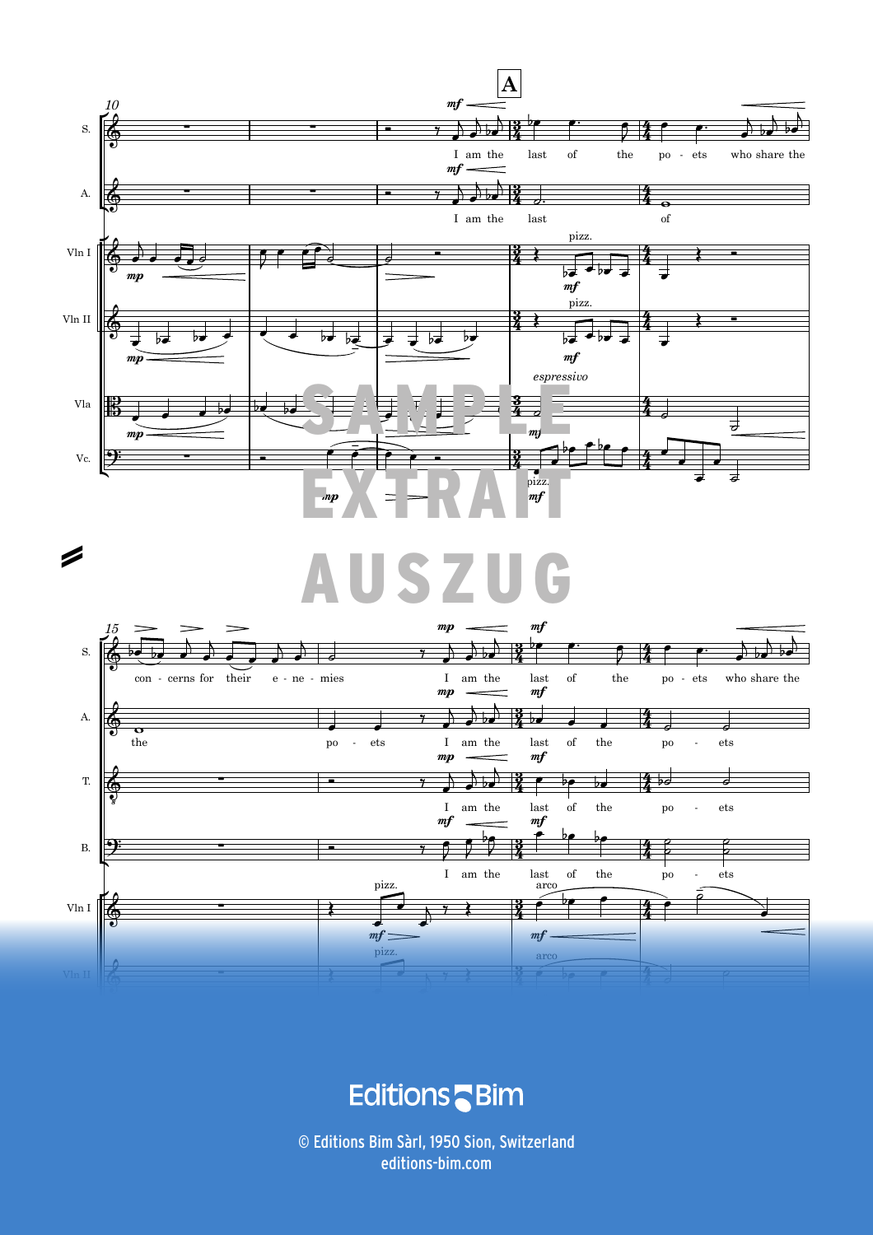





E **ditions**  $s$  - Bim

4 *Unauthorized duplication is illegal. © Editions Bim - C. Charrière, Hope* V115b editions-bim.com© Editions Bim Sàrl, 1950 Sion, Switzerland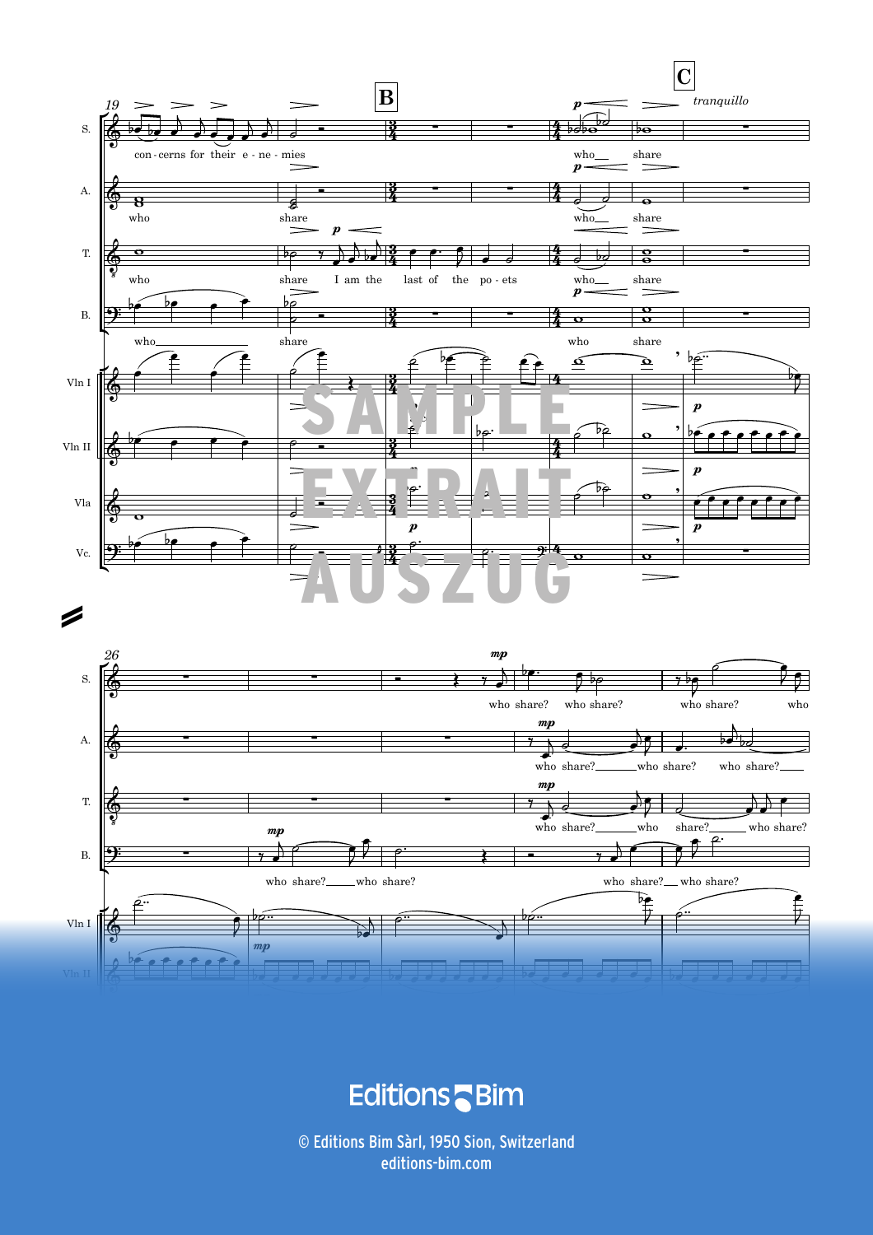

**Editions** Bim

V115b *Unauthorized duplication is illegal. © Editions Bim - C. Charrière, Hope* 5 editions-bim.com© Editions Bim Sàrl, 1950 Sion, Switzerland